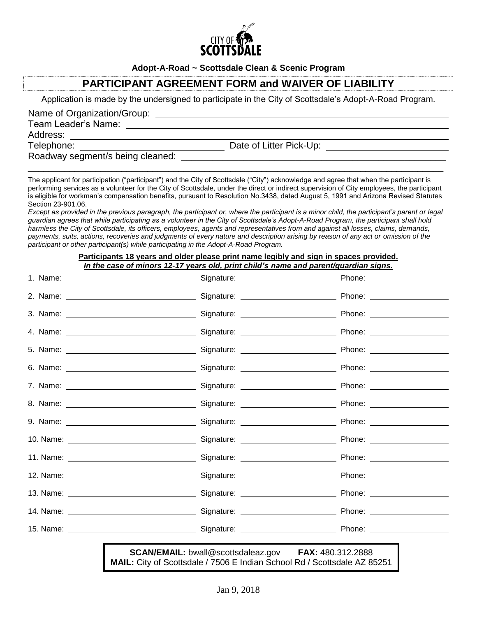

**Adopt-A-Road ~ Scottsdale Clean & Scenic Program**

## **PARTICIPANT AGREEMENT FORM and WAIVER OF LIABILITY**

Application is made by the undersigned to participate in the City of Scottsdale's Adopt-A-Road Program.

Name of Organization/Group:

Team Leader's Name:

Address:

Telephone: Date of Litter Pick-Up:

Roadway segment/s being cleaned:  $\boxed{\phantom{a}}$ 

The applicant for participation ("participant") and the City of Scottsdale ("City") acknowledge and agree that when the participant is performing services as a volunteer for the City of Scottsdale, under the direct or indirect supervision of City employees, the participant is eligible for workman's compensation benefits, pursuant to Resolution No.3438, dated August 5, 1991 and Arizona Revised Statutes Section 23-901.06.

\_\_\_\_\_\_\_\_\_\_\_\_\_\_\_\_\_\_\_\_\_\_\_\_\_\_\_\_\_\_\_\_\_\_\_\_\_\_\_\_\_\_\_\_\_\_\_\_\_\_\_\_\_\_\_\_\_\_\_\_\_\_\_\_\_\_\_\_\_\_\_\_\_\_\_\_\_\_\_\_

*Except as provided in the previous paragraph, the participant or, where the participant is a minor child, the participant's parent or legal guardian agrees that while participating as a volunteer in the City of Scottsdale's Adopt-A-Road Program, the participant shall hold harmless the City of Scottsdale, its officers, employees, agents and representatives from and against all losses, claims, demands, payments, suits, actions, recoveries and judgments of every nature and description arising by reason of any act or omission of the participant or other participant(s) while participating in the Adopt-A-Road Program.*

## **Participants 18 years and older please print name legibly and sign in spaces provided.**  *In the case of minors 12-17 years old, print child's name and parent/guardian signs.*

| <b>SCAN/EMAIL:</b> bwall@scottsdaleaz.gov FAX: 480.312.2888<br>MAIL: City of Scottsdale / 7506 E Indian School Rd / Scottsdale AZ 85251 |  |  |
|-----------------------------------------------------------------------------------------------------------------------------------------|--|--|
|                                                                                                                                         |  |  |
|                                                                                                                                         |  |  |
|                                                                                                                                         |  |  |
|                                                                                                                                         |  |  |
|                                                                                                                                         |  |  |
|                                                                                                                                         |  |  |
|                                                                                                                                         |  |  |
|                                                                                                                                         |  |  |
|                                                                                                                                         |  |  |
|                                                                                                                                         |  |  |
|                                                                                                                                         |  |  |
|                                                                                                                                         |  |  |
|                                                                                                                                         |  |  |
|                                                                                                                                         |  |  |
|                                                                                                                                         |  |  |